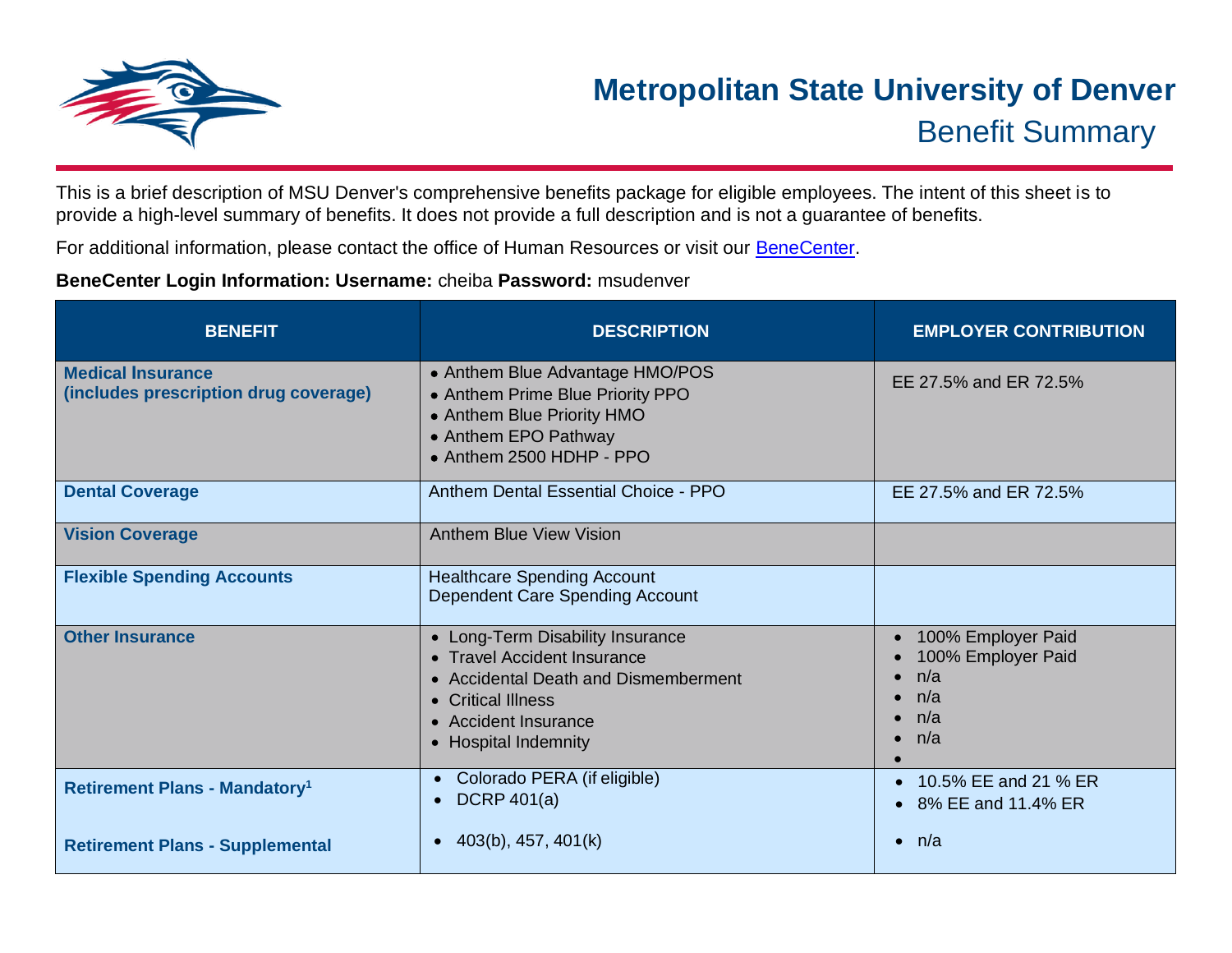

This is a brief description of MSU Denver's comprehensive benefits package for eligible employees. The intent of this sheet is to provide a high-level summary of benefits. It does not provide a full description and is not a guarantee of benefits.

For additional information, please contact the office of Human Resources or visit our [BeneCenter.](https://mybensite.com/cheiba/index.php)

## **BeneCenter Login Information: Username:** cheiba **Password:** msudenver

| <b>BENEFIT</b>                                                    | <b>DESCRIPTION</b>                                                                                                                                                            | <b>EMPLOYER CONTRIBUTION</b>                                                                                      |
|-------------------------------------------------------------------|-------------------------------------------------------------------------------------------------------------------------------------------------------------------------------|-------------------------------------------------------------------------------------------------------------------|
| <b>Medical Insurance</b><br>(includes prescription drug coverage) | • Anthem Blue Advantage HMO/POS<br>• Anthem Prime Blue Priority PPO<br>• Anthem Blue Priority HMO<br>• Anthem EPO Pathway<br>• Anthem 2500 HDHP - PPO                         | EE 27.5% and ER 72.5%                                                                                             |
| <b>Dental Coverage</b>                                            | Anthem Dental Essential Choice - PPO                                                                                                                                          | EE 27.5% and ER 72.5%                                                                                             |
| <b>Vision Coverage</b>                                            | <b>Anthem Blue View Vision</b>                                                                                                                                                |                                                                                                                   |
| <b>Flexible Spending Accounts</b>                                 | <b>Healthcare Spending Account</b><br>Dependent Care Spending Account                                                                                                         |                                                                                                                   |
| <b>Other Insurance</b>                                            | • Long-Term Disability Insurance<br>• Travel Accident Insurance<br>• Accidental Death and Dismemberment<br>• Critical Illness<br>• Accident Insurance<br>• Hospital Indemnity | • 100% Employer Paid<br>100% Employer Paid<br>$\bullet$ n/a<br>n/a<br>$\bullet$<br>$\bullet$ n/a<br>$\bullet$ n/a |
| <b>Retirement Plans - Mandatory<sup>1</sup></b>                   | Colorado PERA (if eligible)<br>$\bullet$<br>DCRP $401(a)$<br>$\bullet$                                                                                                        | • 10.5% EE and 21 % ER<br>• 8% EE and 11.4% ER                                                                    |
| <b>Retirement Plans - Supplemental</b>                            | 403(b), 457, 401(k)<br>$\bullet$                                                                                                                                              | $\bullet$ n/a                                                                                                     |